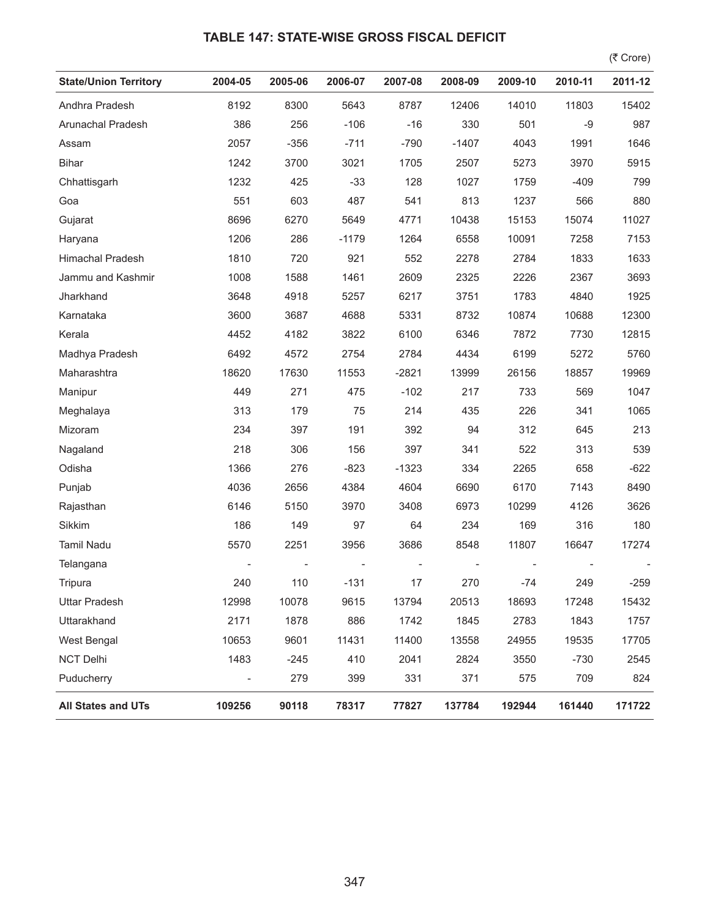## **TABLE 147: STATE-WISE GROSS FISCAL DEFICIT**

 $($ ₹ Crore)

| <b>State/Union Territory</b> | 2004-05                  | 2005-06 | 2006-07 | 2007-08 | 2008-09 | 2009-10 | 2010-11 | 2011-12 |
|------------------------------|--------------------------|---------|---------|---------|---------|---------|---------|---------|
| Andhra Pradesh               | 8192                     | 8300    | 5643    | 8787    | 12406   | 14010   | 11803   | 15402   |
| Arunachal Pradesh            | 386                      | 256     | $-106$  | $-16$   | 330     | 501     | $-9$    | 987     |
| Assam                        | 2057                     | $-356$  | $-711$  | $-790$  | $-1407$ | 4043    | 1991    | 1646    |
| <b>Bihar</b>                 | 1242                     | 3700    | 3021    | 1705    | 2507    | 5273    | 3970    | 5915    |
| Chhattisgarh                 | 1232                     | 425     | $-33$   | 128     | 1027    | 1759    | $-409$  | 799     |
| Goa                          | 551                      | 603     | 487     | 541     | 813     | 1237    | 566     | 880     |
| Gujarat                      | 8696                     | 6270    | 5649    | 4771    | 10438   | 15153   | 15074   | 11027   |
| Haryana                      | 1206                     | 286     | $-1179$ | 1264    | 6558    | 10091   | 7258    | 7153    |
| Himachal Pradesh             | 1810                     | 720     | 921     | 552     | 2278    | 2784    | 1833    | 1633    |
| Jammu and Kashmir            | 1008                     | 1588    | 1461    | 2609    | 2325    | 2226    | 2367    | 3693    |
| Jharkhand                    | 3648                     | 4918    | 5257    | 6217    | 3751    | 1783    | 4840    | 1925    |
| Karnataka                    | 3600                     | 3687    | 4688    | 5331    | 8732    | 10874   | 10688   | 12300   |
| Kerala                       | 4452                     | 4182    | 3822    | 6100    | 6346    | 7872    | 7730    | 12815   |
| Madhya Pradesh               | 6492                     | 4572    | 2754    | 2784    | 4434    | 6199    | 5272    | 5760    |
| Maharashtra                  | 18620                    | 17630   | 11553   | $-2821$ | 13999   | 26156   | 18857   | 19969   |
| Manipur                      | 449                      | 271     | 475     | $-102$  | 217     | 733     | 569     | 1047    |
| Meghalaya                    | 313                      | 179     | 75      | 214     | 435     | 226     | 341     | 1065    |
| Mizoram                      | 234                      | 397     | 191     | 392     | 94      | 312     | 645     | 213     |
| Nagaland                     | 218                      | 306     | 156     | 397     | 341     | 522     | 313     | 539     |
| Odisha                       | 1366                     | 276     | $-823$  | $-1323$ | 334     | 2265    | 658     | $-622$  |
| Punjab                       | 4036                     | 2656    | 4384    | 4604    | 6690    | 6170    | 7143    | 8490    |
| Rajasthan                    | 6146                     | 5150    | 3970    | 3408    | 6973    | 10299   | 4126    | 3626    |
| Sikkim                       | 186                      | 149     | 97      | 64      | 234     | 169     | 316     | 180     |
| <b>Tamil Nadu</b>            | 5570                     | 2251    | 3956    | 3686    | 8548    | 11807   | 16647   | 17274   |
| Telangana                    |                          |         |         |         |         |         |         |         |
| Tripura                      | 240                      | 110     | $-131$  | 17      | 270     | -74     | 249     | $-259$  |
| <b>Uttar Pradesh</b>         | 12998                    | 10078   | 9615    | 13794   | 20513   | 18693   | 17248   | 15432   |
| Uttarakhand                  | 2171                     | 1878    | 886     | 1742    | 1845    | 2783    | 1843    | 1757    |
| West Bengal                  | 10653                    | 9601    | 11431   | 11400   | 13558   | 24955   | 19535   | 17705   |
| <b>NCT Delhi</b>             | 1483                     | $-245$  | 410     | 2041    | 2824    | 3550    | $-730$  | 2545    |
| Puducherry                   | $\overline{\phantom{a}}$ | 279     | 399     | 331     | 371     | 575     | 709     | 824     |
| <b>All States and UTs</b>    | 109256                   | 90118   | 78317   | 77827   | 137784  | 192944  | 161440  | 171722  |